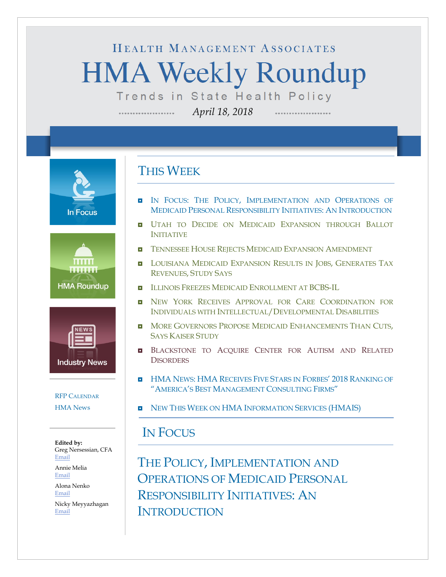# HEALTH MANAGEMENT ASSOCIATES **HMA Weekly Roundup** Trends in State Health Policy

*April 18, 2018*

**In Focus** 





### [RFP CALENDAR](#page-16-0) [HMA News](#page-17-0)

**Edited by:** Greg Nersessian, CFA [Email](mailto:gnersessian@healthmanagement.com) Annie Melia

[Email](mailto:amelia@healthmanagement.com)

Alona Nenko [Email](mailto:anenko@healthmanagement.com) Nicky Meyyazhagan

[Email](mailto:nmeyyazhagan@healthmanagement.com)

## THIS WEEK

- IN FOCUS: THE POLICY, IMPLEMENTATION AND OPERATIONS OF [MEDICAID PERSONAL RESPONSIBILITY INITIATIVES:](#page-0-0) AN INTRODUCTION
- **UTAH TO DECIDE ON MEDICAID EXPANSION THROUGH BALLOT** [INITIATIVE](#page-13-0)
- **[TENNESSEE HOUSE REJECTS MEDICAID EXPANSION AMENDMENT](#page-12-0)**
- **[LOUISIANA MEDICAID EXPANSION RESULTS IN JOBS,](#page-5-0) GENERATES TAX** REVENUES, [STUDY SAYS](#page-5-0)
- [ILLINOIS FREEZES MEDICAID ENROLLMENT AT BCBS-IL](#page-5-1)
- **D** NEW YORK RECEIVES APPROVAL FOR CARE COORDINATION FOR [INDIVIDUALS WITH INTELLECTUAL/DEVELOPMENTAL DI](#page-9-0)SABILITIES
- **D** [MORE GOVERNORS PROPOSE MEDICAID ENHANCEMENTS THAN CUTS,](#page-13-1) [SAYS KAISER STUDY](#page-13-1)
- BLACKSTONE TO ACQUIRE CENTER FOR AUTISM AND RELATED **[DISORDERS](#page-14-0)**
- **HMA NEWS: HMA [RECEIVES FIVE STARS IN FORBES'](#page-17-0) 2018 RANKING OF** ["AMERICA'S BEST MANAGEMENT CONSULTING FIRMS"](#page-17-0)
- **NEW THIS WEEK ON HMA [INFORMATION SERVICES \(HMAIS\)](#page-17-0)**

### <span id="page-0-0"></span>IN FOCUS

THE POLICY, IMPLEMENTATION AND OPERATIONS OF MEDICAID PERSONAL RESPONSIBILITY INITIATIVES: AN **INTRODUCTION**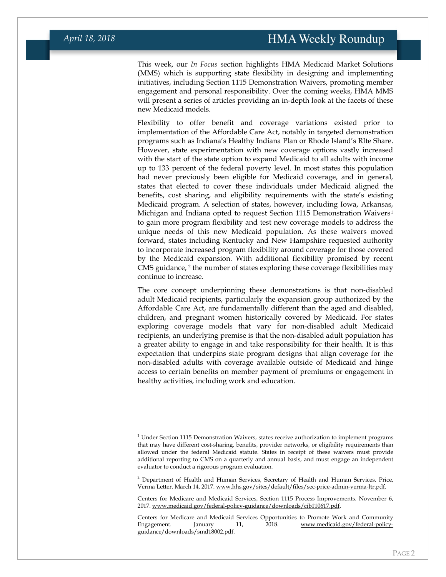This week, our *In Focus* section highlights HMA Medicaid Market Solutions (MMS) which is supporting state flexibility in designing and implementing initiatives, including Section 1115 Demonstration Waivers, promoting member engagement and personal responsibility. Over the coming weeks, HMA MMS will present a series of articles providing an in-depth look at the facets of these new Medicaid models.

Flexibility to offer benefit and coverage variations existed prior to implementation of the Affordable Care Act, notably in targeted demonstration programs such as Indiana's Healthy Indiana Plan or Rhode Island's RIte Share. However, state experimentation with new coverage options vastly increased with the start of the state option to expand Medicaid to all adults with income up to 133 percent of the federal poverty level. In most states this population had never previously been eligible for Medicaid coverage, and in general, states that elected to cover these individuals under Medicaid aligned the benefits, cost sharing, and eligibility requirements with the state's existing Medicaid program. A selection of states, however, including Iowa, Arkansas, Michigan and Indiana opted to request Section 1115 Demonstration Waivers[1](#page-1-0) to gain more program flexibility and test new coverage models to address the unique needs of this new Medicaid population. As these waivers moved forward, states including Kentucky and New Hampshire requested authority to incorporate increased program flexibility around coverage for those covered by the Medicaid expansion. With additional flexibility promised by recent CMS guidance, [2](#page-1-1) the number of states exploring these coverage flexibilities may continue to increase.

The core concept underpinning these demonstrations is that non-disabled adult Medicaid recipients, particularly the expansion group authorized by the Affordable Care Act, are fundamentally different than the aged and disabled, children, and pregnant women historically covered by Medicaid. For states exploring coverage models that vary for non-disabled adult Medicaid recipients, an underlying premise is that the non-disabled adult population has a greater ability to engage in and take responsibility for their health. It is this expectation that underpins state program designs that align coverage for the non-disabled adults with coverage available outside of Medicaid and hinge access to certain benefits on member payment of premiums or engagement in healthy activities, including work and education.

<span id="page-1-0"></span> $1$  Under Section 1115 Demonstration Waivers, states receive authorization to implement programs that may have different cost-sharing, benefits, provider networks, or eligibility requirements than allowed under the federal Medicaid statute. States in receipt of these waivers must provide additional reporting to CMS on a quarterly and annual basis, and must engage an independent evaluator to conduct a rigorous program evaluation.

<span id="page-1-1"></span><sup>&</sup>lt;sup>2</sup> Department of Health and Human Services, Secretary of Health and Human Services. Price, Verma Letter. March 14, 2017[. www.hhs.gov/sites/default/files/sec-price-admin-verma-ltr.pdf.](http://www.hhs.gov/sites/default/files/sec-price-admin-verma-ltr.pdf) 

Centers for Medicare and Medicaid Services, Section 1115 Process Improvements. November 6, 2017[. www.medicaid.gov/federal-policy-guidance/downloads/cib110617.pdf.](http://www.medicaid.gov/federal-policy-guidance/downloads/cib110617.pdf) 

Centers for Medicare and Medicaid Services Opportunities to Promote Work and Community Engagement. January 11, 2018. [www.medicaid.gov/federal-policy](http://www.medicaid.gov/federal-policy-guidance/downloads/smd18002.pdf)[guidance/downloads/smd18002.pdf.](http://www.medicaid.gov/federal-policy-guidance/downloads/smd18002.pdf)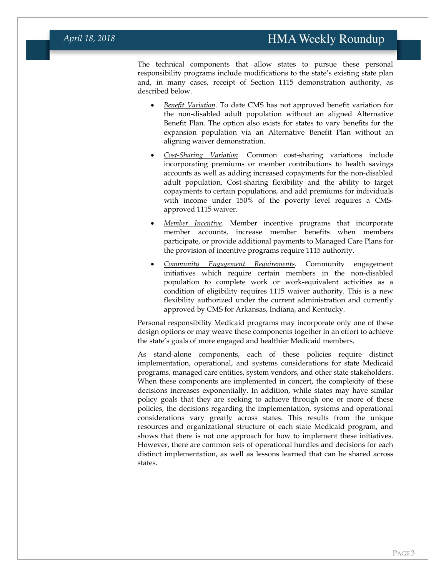The technical components that allow states to pursue these personal responsibility programs include modifications to the state's existing state plan and, in many cases, receipt of Section 1115 demonstration authority, as described below.

- *Benefit Variation*. To date CMS has not approved benefit variation for the non-disabled adult population without an aligned Alternative Benefit Plan. The option also exists for states to vary benefits for the expansion population via an Alternative Benefit Plan without an aligning waiver demonstration.
- *Cost-Sharing Variation*. Common cost-sharing variations include incorporating premiums or member contributions to health savings accounts as well as adding increased copayments for the non-disabled adult population. Cost-sharing flexibility and the ability to target copayments to certain populations, and add premiums for individuals with income under 150% of the poverty level requires a CMSapproved 1115 waiver.
- *Member Incentive*. Member incentive programs that incorporate member accounts, increase member benefits when members participate, or provide additional payments to Managed Care Plans for the provision of incentive programs require 1115 authority.
- *Community Engagement Requirements*. Community engagement initiatives which require certain members in the non-disabled population to complete work or work-equivalent activities as a condition of eligibility requires 1115 waiver authority. This is a new flexibility authorized under the current administration and currently approved by CMS for Arkansas, Indiana, and Kentucky.

Personal responsibility Medicaid programs may incorporate only one of these design options or may weave these components together in an effort to achieve the state's goals of more engaged and healthier Medicaid members.

As stand-alone components, each of these policies require distinct implementation, operational, and systems considerations for state Medicaid programs, managed care entities, system vendors, and other state stakeholders. When these components are implemented in concert, the complexity of these decisions increases exponentially. In addition, while states may have similar policy goals that they are seeking to achieve through one or more of these policies, the decisions regarding the implementation, systems and operational considerations vary greatly across states. This results from the unique resources and organizational structure of each state Medicaid program, and shows that there is not one approach for how to implement these initiatives. However, there are common sets of operational hurdles and decisions for each distinct implementation, as well as lessons learned that can be shared across states.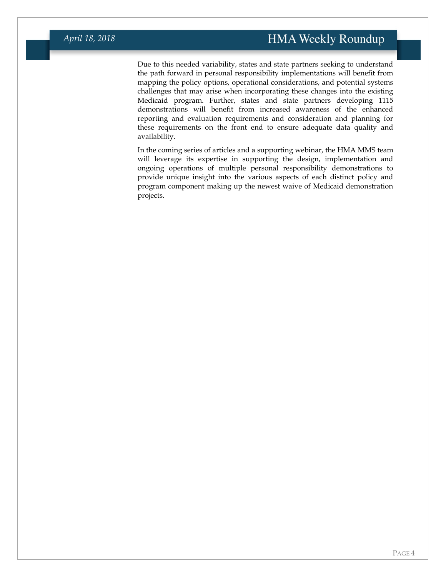Due to this needed variability, states and state partners seeking to understand the path forward in personal responsibility implementations will benefit from mapping the policy options, operational considerations, and potential systems challenges that may arise when incorporating these changes into the existing Medicaid program. Further, states and state partners developing 1115 demonstrations will benefit from increased awareness of the enhanced reporting and evaluation requirements and consideration and planning for these requirements on the front end to ensure adequate data quality and availability.

In the coming series of articles and a supporting webinar, the HMA MMS team will leverage its expertise in supporting the design, implementation and ongoing operations of multiple personal responsibility demonstrations to provide unique insight into the various aspects of each distinct policy and program component making up the newest waive of Medicaid demonstration projects.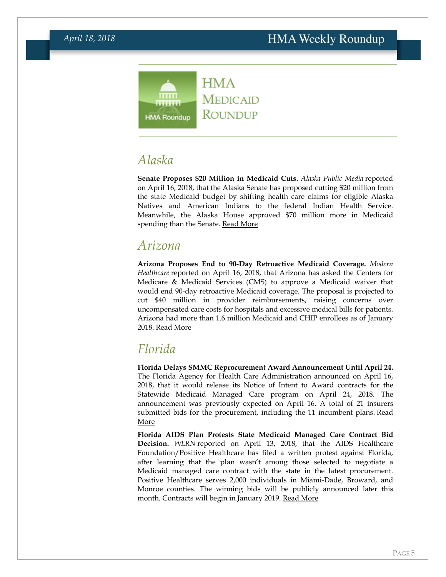

## *Alaska*

**Senate Proposes \$20 Million in Medicaid Cuts.** *Alaska Public Media* reported on April 16, 2018, that the Alaska Senate has proposed cutting \$20 million from the state Medicaid budget by shifting health care claims for eligible Alaska Natives and American Indians to the federal Indian Health Service. Meanwhile, the Alaska House approved \$70 million more in Medicaid spending than the Senate. [Read More](https://www.alaskapublic.org/2018/04/16/senate-medicaid-budget-cut-may-overstate-savings/)

### *Arizona*

**Arizona Proposes End to 90-Day Retroactive Medicaid Coverage.** *Modern Healthcare* reported on April 16, 2018, that Arizona has asked the Centers for Medicare & Medicaid Services (CMS) to approve a Medicaid waiver that would end 90-day retroactive Medicaid coverage. The proposal is projected to cut \$40 million in provider reimbursements, raising concerns over uncompensated care costs for hospitals and excessive medical bills for patients. Arizona had more than 1.6 million Medicaid and CHIP enrollees as of January 2018. [Read More](http://www.modernhealthcare.com/article/20180416/NEWS/180419937)

## *Florida*

**Florida Delays SMMC Reprocurement Award Announcement Until April 24.**  The Florida Agency for Health Care Administration announced on April 16, 2018, that it would release its Notice of Intent to Award contracts for the Statewide Medicaid Managed Care program on April 24, 2018. The announcement was previously expected on April 16. A total of 21 insurers submitted bids for the procurement, including the 11 incumbent plans. Read [More](http://www.myflorida.com/apps/vbs/vbs_www.ad_r2.view_ad?advertisement_key_num=139226)

**Florida AIDS Plan Protests State Medicaid Managed Care Contract Bid Decision.** *WLRN* reported on April 13, 2018, that the AIDS Healthcare Foundation/Positive Healthcare has filed a written protest against Florida, after learning that the plan wasn't among those selected to negotiate a Medicaid managed care contract with the state in the latest procurement. Positive Healthcare serves 2,000 individuals in Miami-Dade, Broward, and Monroe counties. The winning bids will be publicly announced later this month. Contracts will begin in January 2019. [Read More](http://wlrn.org/post/aids-foundation-protests-over-medicaid-contracting)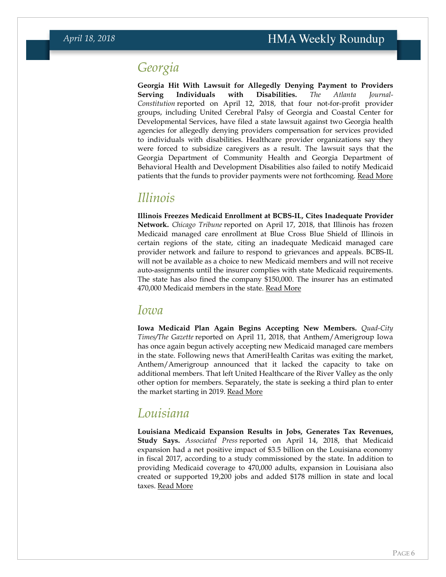## *Georgia*

**Georgia Hit With Lawsuit for Allegedly Denying Payment to Providers Serving Individuals with Disabilities.** *The Atlanta Journal-Constitution* reported on April 12, 2018, that four not-for-profit provider groups, including United Cerebral Palsy of Georgia and Coastal Center for Developmental Services, have filed a state lawsuit against two Georgia health agencies for allegedly denying providers compensation for services provided to individuals with disabilities. Healthcare provider organizations say they were forced to subsidize caregivers as a result. The lawsuit says that the Georgia Department of Community Health and Georgia Department of Behavioral Health and Development Disabilities also failed to notify Medicaid patients that the funds to provider payments were not forthcoming. [Read More](https://www.ajc.com/news/local/state-health-agencies-sued-for-secretly-cutting-aid-the-disabled/jumBptCpnDxoM2JAABV6WP/)

### <span id="page-5-1"></span>*Illinois*

**Illinois Freezes Medicaid Enrollment at BCBS-IL, Cites Inadequate Provider Network.** *Chicago Tribune* reported on April 17, 2018, that Illinois has frozen Medicaid managed care enrollment at Blue Cross Blue Shield of Illinois in certain regions of the state, citing an inadequate Medicaid managed care provider network and failure to respond to grievances and appeals. BCBS-IL will not be available as a choice to new Medicaid members and will not receive auto-assignments until the insurer complies with state Medicaid requirements. The state has also fined the company \$150,000. The insurer has an estimated 470,000 Medicaid members in the state. [Read More](http://www.chicagotribune.com/business/ct-biz-medicaid-blue-cross-sanctions-0419-story.html)

### *Iowa*

**Iowa Medicaid Plan Again Begins Accepting New Members.** *Quad-City Times/The Gazette* reported on April 11, 2018, that Anthem/Amerigroup Iowa has once again begun actively accepting new Medicaid managed care members in the state. Following news that AmeriHealth Caritas was exiting the market, Anthem/Amerigroup announced that it lacked the capacity to take on additional members. That left United Healthcare of the River Valley as the only other option for members. Separately, the state is seeking a third plan to enter the market starting in 2019. [Read More](http://qctimes.com/news/local/government-and-politics/iowa-medicaid-members-regain-choice/article_55b0eece-8aa0-5b8e-9087-050d9f63f7a6.html)

## <span id="page-5-0"></span>*Louisiana*

**Louisiana Medicaid Expansion Results in Jobs, Generates Tax Revenues, Study Says.** *Associated Press* reported on April 14, 2018, that Medicaid expansion had a net positive impact of \$3.5 billion on the Louisiana economy in fiscal 2017, according to a study commissioned by the state. In addition to providing Medicaid coverage to 470,000 adults, expansion in Louisiana also created or supported 19,200 jobs and added \$178 million in state and local taxes. [Read More](https://www.usnews.com/news/best-states/louisiana/articles/2018-04-14/study-louisiana-medicaid-expansion-program-has-35b-impact)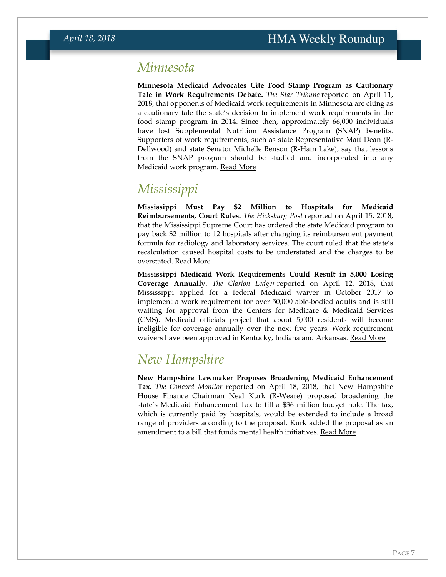## *Minnesota*

**Minnesota Medicaid Advocates Cite Food Stamp Program as Cautionary Tale in Work Requirements Debate.** *The Star Tribune* reported on April 11, 2018, that opponents of Medicaid work requirements in Minnesota are citing as a cautionary tale the state's decision to implement work requirements in the food stamp program in 2014. Since then, approximately 66,000 individuals have lost Supplemental Nutrition Assistance Program (SNAP) benefits. Supporters of work requirements, such as state Representative Matt Dean (R-Dellwood) and state Senator Michelle Benson (R-Ham Lake), say that lessons from the SNAP program should be studied and incorporated into any Medicaid work program. [Read More](http://www.startribune.com/medicaid-work-requirements-hotly-debated-at-legislature/479465363/)

## *Mississippi*

**Mississippi Must Pay \$2 Million to Hospitals for Medicaid Reimbursements, Court Rules.** *The Hicksburg Post* reported on April 15, 2018, that the Mississippi Supreme Court has ordered the state Medicaid program to pay back \$2 million to 12 hospitals after changing its reimbursement payment formula for radiology and laboratory services. The court ruled that the state's recalculation caused hospital costs to be understated and the charges to be overstated. [Read More](https://www.vicksburgpost.com/2018/04/15/supreme-court-orders-medicaid-to-pay-2-million-to-12-mississippi-hospitals-bnx/)

**Mississippi Medicaid Work Requirements Could Result in 5,000 Losing Coverage Annually.** *The Clarion Ledger* reported on April 12, 2018, that Mississippi applied for a federal Medicaid waiver in October 2017 to implement a work requirement for over 50,000 able-bodied adults and is still waiting for approval from the Centers for Medicare & Medicaid Services (CMS). Medicaid officials project that about 5,000 residents will become ineligible for coverage annually over the next five years. Work requirement waivers have been approved in Kentucky, Indiana and Arkansas. [Read More](https://www.clarionledger.com/story/news/politics/2018/04/12/mississippi-medicaid-work-requirement-twisting-arms-giving-leg-up/505755002/)

## *New Hampshire*

**New Hampshire Lawmaker Proposes Broadening Medicaid Enhancement Tax.** *The Concord Monitor* reported on April 18, 2018, that New Hampshire House Finance Chairman Neal Kurk (R-Weare) proposed broadening the state's Medicaid Enhancement Tax to fill a \$36 million budget hole. The tax, which is currently paid by hospitals, would be extended to include a broad range of providers according to the proposal. Kurk added the proposal as an amendment to a bill that funds mental health initiatives. [Read More](http://www.concordmonitor.com/Amendment-to-cover-$36-million-hole-in-NH-state-budget-from-hospital-lawsuit-16928049)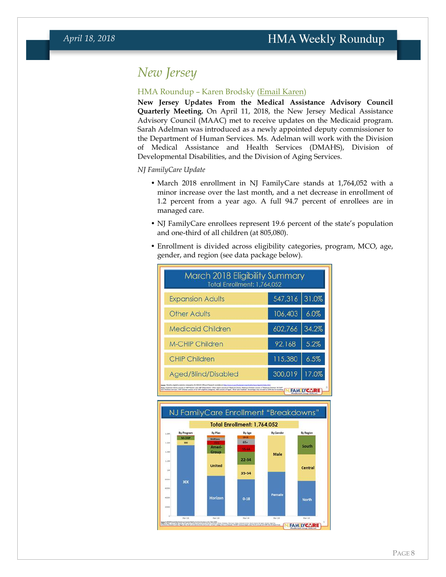## *New Jersey*

### HMA Roundup – Karen Brodsky [\(Email Karen\)](mailto:kbrodsky@healthmanagement.com)

**New Jersey Updates From the Medical Assistance Advisory Council Quarterly Meeting.** On April 11, 2018, the New Jersey Medical Assistance Advisory Council (MAAC) met to receive updates on the Medicaid program. Sarah Adelman was introduced as a newly appointed deputy commissioner to the Department of Human Services. Ms. Adelman will work with the Division of Medical Assistance and Health Services (DMAHS), Division of Developmental Disabilities, and the Division of Aging Services.

*NJ FamilyCare Update*

- March 2018 enrollment in NJ FamilyCare stands at 1,764,052 with a minor increase over the last month, and a net decrease in enrollment of 1.2 percent from a year ago. A full 94.7 percent of enrollees are in managed care.
- NJ FamilyCare enrollees represent 19.6 percent of the state's population and one-third of all children (at 805,080).
- Enrollment is divided across eligibility categories, program, MCO, age, gender, and region (see data package below).



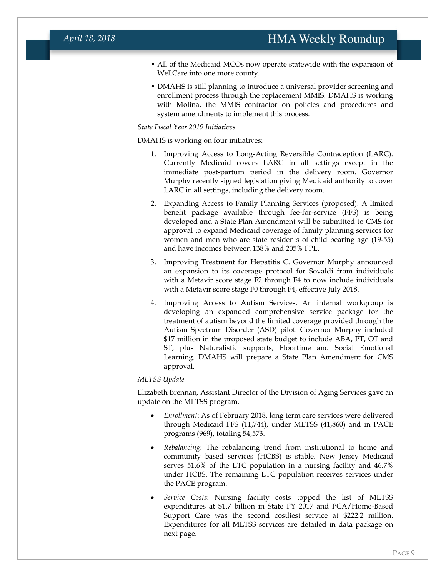### *April 18, 2018*

- All of the Medicaid MCOs now operate statewide with the expansion of WellCare into one more county.
- DMAHS is still planning to introduce a universal provider screening and enrollment process through the replacement MMIS. DMAHS is working with Molina, the MMIS contractor on policies and procedures and system amendments to implement this process.

#### *State Fiscal Year 2019 Initiatives*

DMAHS is working on four initiatives:

- 1. Improving Access to Long-Acting Reversible Contraception (LARC). Currently Medicaid covers LARC in all settings except in the immediate post-partum period in the delivery room. Governor Murphy recently signed legislation giving Medicaid authority to cover LARC in all settings, including the delivery room.
- 2. Expanding Access to Family Planning Services (proposed). A limited benefit package available through fee-for-service (FFS) is being developed and a State Plan Amendment will be submitted to CMS for approval to expand Medicaid coverage of family planning services for women and men who are state residents of child bearing age (19-55) and have incomes between 138% and 205% FPL.
- 3. Improving Treatment for Hepatitis C. Governor Murphy announced an expansion to its coverage protocol for Sovaldi from individuals with a Metavir score stage F2 through F4 to now include individuals with a Metavir score stage F0 through F4, effective July 2018.
- 4. Improving Access to Autism Services. An internal workgroup is developing an expanded comprehensive service package for the treatment of autism beyond the limited coverage provided through the Autism Spectrum Disorder (ASD) pilot. Governor Murphy included \$17 million in the proposed state budget to include ABA, PT, OT and ST, plus Naturalistic supports, Floortime and Social Emotional Learning. DMAHS will prepare a State Plan Amendment for CMS approval.

#### *MLTSS Update*

Elizabeth Brennan, Assistant Director of the Division of Aging Services gave an update on the MLTSS program.

- *Enrollment*: As of February 2018, long term care services were delivered through Medicaid FFS (11,744), under MLTSS (41,860) and in PACE programs (969), totaling 54,573.
- *Rebalancing*: The rebalancing trend from institutional to home and community based services (HCBS) is stable. New Jersey Medicaid serves 51.6% of the LTC population in a nursing facility and 46.7% under HCBS. The remaining LTC population receives services under the PACE program.
- *Service Costs*: Nursing facility costs topped the list of MLTSS expenditures at \$1.7 billion in State FY 2017 and PCA/Home-Based Support Care was the second costliest service at \$222.2 million. Expenditures for all MLTSS services are detailed in data package on next page.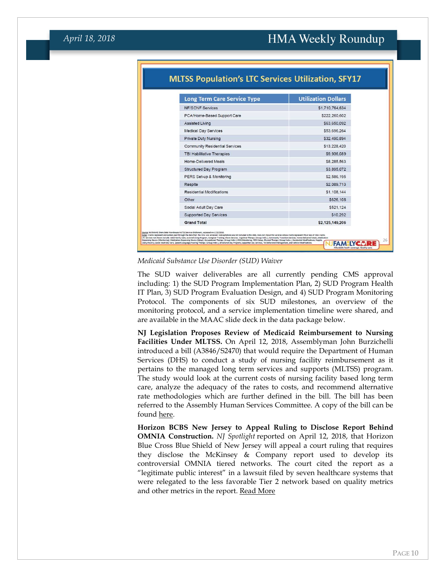| <b>Long Term Care Service Type</b>    | <b>Utilization Dollars</b> |
|---------------------------------------|----------------------------|
| <b>NF/SCNF Services</b>               | \$1,710,764,634            |
| PCA/Home-Based Support Care           | \$222,260,602              |
| <b>Assisted Living</b>                | \$63,650,092               |
| <b>Medical Day Services</b>           | \$53,696,264               |
| <b>Private Duty Nursing</b>           | \$32,490,894               |
| <b>Community Residential Services</b> | \$13,228,420               |
| <b>TBI Habilitative Therapies</b>     | \$9,936,089                |
| <b>Home-Delivered Meals</b>           | \$8,285,563                |
| <b>Structured Day Program</b>         | \$3,895,072                |
| PERS Set-up & Monitoring              | \$2,586,195                |
| Respite                               | \$2,089,713                |
| <b>Residential Modifications</b>      | \$1,108,144                |
| Other                                 | \$626,108                  |
| Social Adult Day Care                 | \$521.124                  |
| <b>Supported Day Services</b>         | \$10,292                   |
| <b>Grand Total</b>                    | \$2,125,149,206            |

### **MLTSS Population's LTC Services Utilization, SFY17**

#### *Medicaid Substance Use Disorder (SUD) Waiver*

The SUD waiver deliverables are all currently pending CMS approval including: 1) the SUD Program Implementation Plan, 2) SUD Program Health IT Plan, 3) SUD Program Evaluation Design, and 4) SUD Program Monitoring Protocol. The components of six SUD milestones, an overview of the monitoring protocol, and a service implementation timeline were shared, and are available in the MAAC slide deck in the data package below.

**NJ Legislation Proposes Review of Medicaid Reimbursement to Nursing Facilities Under MLTSS.** On April 12, 2018, Assemblyman John Burzichelli introduced a bill (A3846/S2470) that would require the Department of Human Services (DHS) to conduct a study of nursing facility reimbursement as it pertains to the managed long term services and supports (MLTSS) program. The study would look at the current costs of nursing facility based long term care, analyze the adequacy of the rates to costs, and recommend alternative rate methodologies which are further defined in the bill. The bill has been referred to the Assembly Human Services Committee. A copy of the bill can be found [here.](http://www.njleg.state.nj.us/2018/Bills/A4000/3846_I1.PDF)

<span id="page-9-0"></span>**Horizon BCBS New Jersey to Appeal Ruling to Disclose Report Behind OMNIA Construction.** *NJ Spotlight* reported on April 12, 2018, that Horizon Blue Cross Blue Shield of New Jersey will appeal a court ruling that requires they disclose the McKinsey & Company report used to develop its controversial OMNIA tiered networks. The court cited the report as a "legitimate public interest" in a lawsuit filed by seven healthcare systems that were relegated to the less favorable Tier 2 network based on quality metrics and other metrics in the report. [Read More](http://www.njspotlight.com/stories/18/04/11/judge-orders-horizon-to-let-public-see-details-behind-omnia-tiered-insurance-plan/)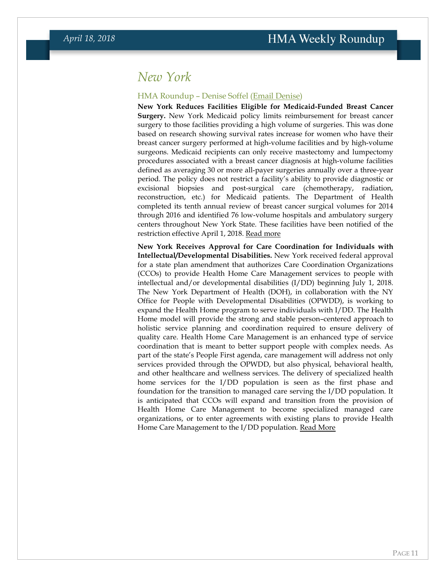### *New York*

#### HMA Roundup – Denise Soffel [\(Email Denise\)](mailto:dsoffel@healthmanagement.com)

**New York Reduces Facilities Eligible for Medicaid-Funded Breast Cancer Surgery.** New York Medicaid policy limits reimbursement for breast cancer surgery to those facilities providing a high volume of surgeries. This was done based on research showing survival rates increase for women who have their breast cancer surgery performed at high-volume facilities and by high-volume surgeons. Medicaid recipients can only receive mastectomy and lumpectomy procedures associated with a breast cancer diagnosis at high-volume facilities defined as averaging 30 or more all-payer surgeries annually over a three-year period. The policy does not restrict a facility's ability to provide diagnostic or excisional biopsies and post-surgical care (chemotherapy, radiation, reconstruction, etc.) for Medicaid patients. The Department of Health completed its tenth annual review of breast cancer surgical volumes for 2014 through 2016 and identified 76 low-volume hospitals and ambulatory surgery centers throughout New York State. These facilities have been notified of the restriction effective April 1, 2018. [Read more](https://www.health.ny.gov/health_care/medicaid/quality/surgery/cancer/breast/)

**New York Receives Approval for Care Coordination for Individuals with Intellectual/Developmental Disabilities.** New York received federal approval for a state plan amendment that authorizes Care Coordination Organizations (CCOs) to provide Health Home Care Management services to people with intellectual and/or developmental disabilities (I/DD) beginning July 1, 2018. The New York Department of Health (DOH), in collaboration with the NY Office for People with Developmental Disabilities (OPWDD), is working to expand the Health Home program to serve individuals with I/DD. The Health Home model will provide the strong and stable person–centered approach to holistic service planning and coordination required to ensure delivery of quality care. Health Home Care Management is an enhanced type of service coordination that is meant to better support people with complex needs. As part of the state's People First agenda, care management will address not only services provided through the OPWDD, but also physical, behavioral health, and other healthcare and wellness services. The delivery of specialized health home services for the I/DD population is seen as the first phase and foundation for the transition to managed care serving the I/DD population. It is anticipated that CCOs will expand and transition from the provision of Health Home Care Management to become specialized managed care organizations, or to enter agreements with existing plans to provide Health Home Care Management to the I/DD population. [Read More](https://www.health.ny.gov/health_care/medicaid/program/medicaid_health_homes/idd/index.htm)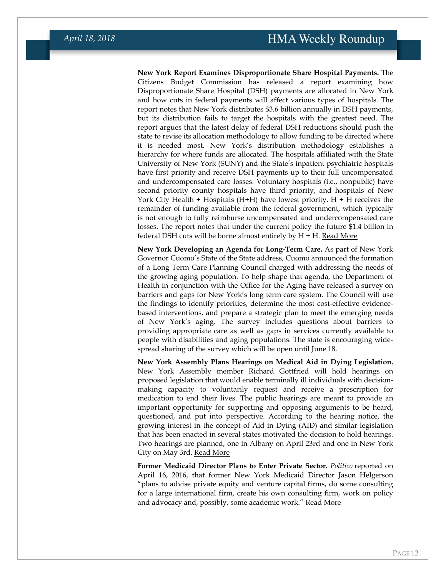**New York Report Examines Disproportionate Share Hospital Payments.** The Citizens Budget Commission has released a report examining how Disproportionate Share Hospital (DSH) payments are allocated in New York and how cuts in federal payments will affect various types of hospitals. The report notes that New York distributes \$3.6 billion annually in DSH payments, but its distribution fails to target the hospitals with the greatest need. The report argues that the latest delay of federal DSH reductions should push the state to revise its allocation methodology to allow funding to be directed where it is needed most. New York's distribution methodology establishes a hierarchy for where funds are allocated. The hospitals affiliated with the State University of New York (SUNY) and the State's inpatient psychiatric hospitals have first priority and receive DSH payments up to their full uncompensated and undercompensated care losses. Voluntary hospitals (i.e., nonpublic) have second priority county hospitals have third priority, and hospitals of New York City Health  $+$  Hospitals (H+H) have lowest priority. H  $+$  H receives the remainder of funding available from the federal government, which typically is not enough to fully reimburse uncompensated and undercompensated care losses. The report notes that under the current policy the future \$1.4 billion in federal DSH cuts will be borne almost entirely by  $H + H$ . [Read More](https://cbcny.org/research/dsh-cuts-delayed)

**New York Developing an Agenda for Long-Term Care.** As part of New York Governor Cuomo's State of the State address, Cuomo announced the formation of a Long Term Care Planning Council charged with addressing the needs of the growing aging population. To help shape that agenda, the Department of Health in conjunction with the Office for the Aging have released a [survey](https://www.surveymonkey.com/r/HM9DM97) on barriers and gaps for New York's long term care system. The Council will use the findings to identify priorities, determine the most cost-effective evidencebased interventions, and prepare a strategic plan to meet the emerging needs of New York's aging. The survey includes questions about barriers to providing appropriate care as well as gaps in services currently available to people with disabilities and aging populations. The state is encouraging widespread sharing of the survey which will be open until June 18.

**New York Assembly Plans Hearings on Medical Aid in Dying Legislation.**  New York Assembly member Richard Gottfried will hold hearings on proposed legislation that would enable terminally ill individuals with decisionmaking capacity to voluntarily request and receive a prescription for medication to end their lives. The public hearings are meant to provide an important opportunity for supporting and opposing arguments to be heard, questioned, and put into perspective. According to the hearing notice, the growing interest in the concept of Aid in Dying (AID) and similar legislation that has been enacted in several states motivated the decision to hold hearings. Two hearings are planned, one in Albany on April 23rd and one in New York City on May 3rd. [Read More](http://assembly.state.ny.us/write/upload/publichearing/20180409.pdf)

**Former Medicaid Director Plans to Enter Private Sector.** *Politico* reported on April 16, 2016, that former New York Medicaid Director Jason Helgerson "plans to advise private equity and venture capital firms, do some consulting for a large international firm, create his own consulting firm, work on policy and advocacy and, possibly, some academic work." [Read More](https://www.politicopro.com/states/new-york/albany/story/2018/04/16/helgersons-next-act-venture-capital-private-equity-consulting-and-academia-367227)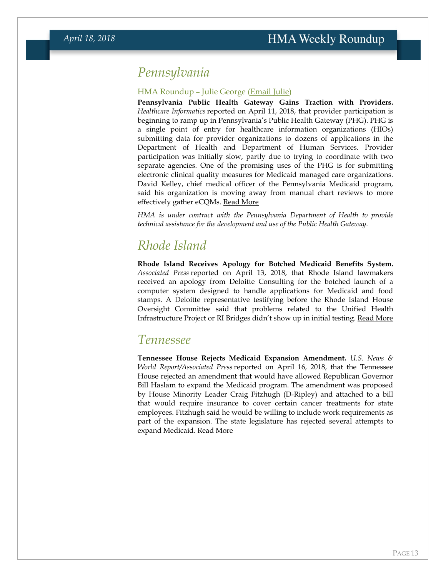## *Pennsylvania*

#### HMA Roundup – Julie George [\(Email Julie\)](mailto:jgeorge@healthmanagement.com)

**Pennsylvania Public Health Gateway Gains Traction with Providers.**  *Healthcare Informatics* reported on April 11, 2018, that provider participation is beginning to ramp up in Pennsylvania's Public Health Gateway (PHG). PHG is a single point of entry for healthcare information organizations (HIOs) submitting data for provider organizations to dozens of applications in the Department of Health and Department of Human Services. Provider participation was initially slow, partly due to trying to coordinate with two separate agencies. One of the promising uses of the PHG is for submitting electronic clinical quality measures for Medicaid managed care organizations. David Kelley, chief medical officer of the Pennsylvania Medicaid program, said his organization is moving away from manual chart reviews to more effectively gather eCQMs. [Read More](https://www.healthcare-informatics.com/article/interoperability/pennsylvania-ramping-connections-public-health-gateway)

*HMA is under contract with the Pennsylvania Department of Health to provide technical assistance for the development and use of the Public Health Gateway.*

## *Rhode Island*

**Rhode Island Receives Apology for Botched Medicaid Benefits System.**  *Associated Press* reported on April 13, 2018, that Rhode Island lawmakers received an apology from Deloitte Consulting for the botched launch of a computer system designed to handle applications for Medicaid and food stamps. A Deloitte representative testifying before the Rhode Island House Oversight Committee said that problems related to the Unified Health Infrastructure Project or RI Bridges didn't show up in initial testing. [Read More](https://www.usnews.com/news/best-states/rhode-island/articles/2018-04-13/deloitte-apologizes-for-botched-rhode-island-benefits-system)

### <span id="page-12-0"></span>*Tennessee*

**Tennessee House Rejects Medicaid Expansion Amendment.** *U.S. News & World Report/Associated Press* reported on April 16, 2018, that the Tennessee House rejected an amendment that would have allowed Republican Governor Bill Haslam to expand the Medicaid program. The amendment was proposed by House Minority Leader Craig Fitzhugh (D-Ripley) and attached to a bill that would require insurance to cover certain cancer treatments for state employees. Fitzhugh said he would be willing to include work requirements as part of the expansion. The state legislature has rejected several attempts to expand Medicaid. [Read More](https://www.usnews.com/news/best-states/tennessee/articles/2018-04-16/effort-to-expand-medicaid-in-tennessee-fails)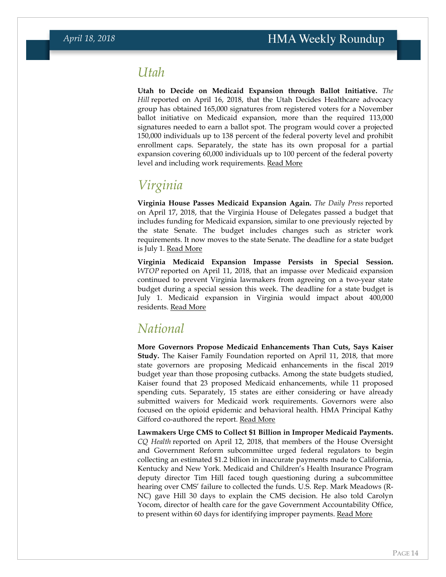### <span id="page-13-0"></span>*Utah*

**Utah to Decide on Medicaid Expansion through Ballot Initiative.** *The Hill* reported on April 16, 2018, that the Utah Decides Healthcare advocacy group has obtained 165,000 signatures from registered voters for a November ballot initiative on Medicaid expansion, more than the required 113,000 signatures needed to earn a ballot spot. The program would cover a projected 150,000 individuals up to 138 percent of the federal poverty level and prohibit enrollment caps. Separately, the state has its own proposal for a partial expansion covering 60,000 individuals up to 100 percent of the federal poverty level and including work requirements. [Read More](http://thehill.com/policy/healthcare/medicaid/383389-medicaid-expansion-initiative-set-for-utah-ballot)

## *Virginia*

**Virginia House Passes Medicaid Expansion Again.** *The Daily Press* reported on April 17, 2018, that the Virginia House of Delegates passed a budget that includes funding for Medicaid expansion, similar to one previously rejected by the state Senate. The budget includes changes such as stricter work requirements. It now moves to the state Senate. The deadline for a state budget is July 1. [Read More](http://www.dailypress.com/news/politics/dp-nws-ga-house-budget-vote-20180417-story.html)

**Virginia Medicaid Expansion Impasse Persists in Special Session.**  *WTOP* reported on April 11, 2018, that an impasse over Medicaid expansion continued to prevent Virginia lawmakers from agreeing on a two-year state budget during a special session this week. The deadline for a state budget is July 1. Medicaid expansion in Virginia would impact about 400,000 residents. [Read More](https://wtop.com/virginia/2018/04/va-budget-standoff-last-least-1-week-possibly-longer/)

## <span id="page-13-1"></span>*National*

**More Governors Propose Medicaid Enhancements Than Cuts, Says Kaiser Study.** The Kaiser Family Foundation reported on April 11, 2018, that more state governors are proposing Medicaid enhancements in the fiscal 2019 budget year than those proposing cutbacks. Among the state budgets studied, Kaiser found that 23 proposed Medicaid enhancements, while 11 proposed spending cuts. Separately, 15 states are either considering or have already submitted waivers for Medicaid work requirements. Governors were also focused on the opioid epidemic and behavioral health. HMA Principal Kathy Gifford co-authored the report. [Read More](https://www.kff.org/medicaid/issue-brief/governors-proposed-budgets-for-fy-2019-focus-on-medicaid-and-other-health-priorities/)

**Lawmakers Urge CMS to Collect \$1 Billion in Improper Medicaid Payments.**  *CQ Health* reported on April 12, 2018, that members of the House Oversight and Government Reform subcommittee urged federal regulators to begin collecting an estimated \$1.2 billion in inaccurate payments made to California, Kentucky and New York. Medicaid and Children's Health Insurance Program deputy director Tim Hill faced tough questioning during a subcommittee hearing over CMS' failure to collected the funds. U.S. Rep. Mark Meadows (R-NC) gave Hill 30 days to explain the CMS decision. He also told Carolyn Yocom, director of health care for the gave Government Accountability Office, to present within 60 days for identifying improper payments. [Read More](https://plus.cq.com/doc/hbnews-5297804?4)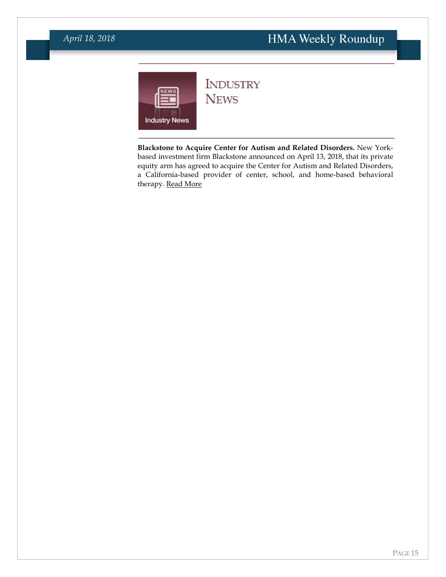### *April 18, 2018*

<span id="page-14-0"></span>

## **INDUSTRY NEWS**

**Blackstone to Acquire Center for Autism and Related Disorders.** New Yorkbased investment firm Blackstone announced on April 13, 2018, that its private equity arm has agreed to acquire the Center for Autism and Related Disorders, a California-based provider of center, school, and home-based behavioral therapy. [Read More](https://www.blackstone.com/media/press-releases/blackstone-to-acquire-center-for-autism-and-related-disorders-(card))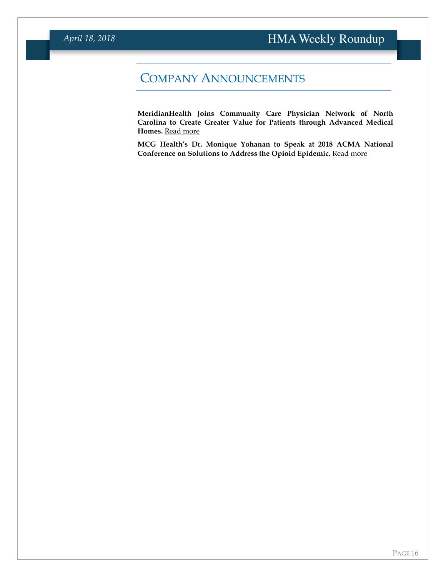## COMPANY ANNOUNCEMENTS

**MeridianHealth Joins Community Care Physician Network of North Carolina to Create Greater Value for Patients through Advanced Medical Homes.** [Read more](https://www.healthmanagement.com/wp-content/uploads/Meridian-CCPN-Press-Release-Embargoed.pdf)

**MCG Health's Dr. Monique Yohanan to Speak at 2018 ACMA National**  Conference on Solutions to Address the Opioid Epidemic. [Read more](https://www.mcg.com/client-resources/news-item/monique-yohanan-acma-opioid-epidemic/)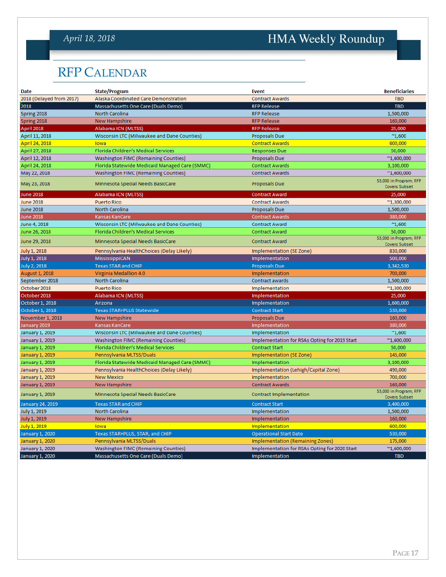## *April 18, 2018*

# HMA Weekly Roundup

# <span id="page-16-0"></span>RFP CALENDAR

| Date                     | <b>State/Program</b>                           | <b>Event</b>                                  | <b>Beneficiaries</b>                           |
|--------------------------|------------------------------------------------|-----------------------------------------------|------------------------------------------------|
| 2018 (Delayed from 2017) | Alaska Coordinated Care Demonstration          | <b>Contract Awards</b>                        | <b>TBD</b>                                     |
| 2018                     | Massachusetts One Care (Duals Demo)            | <b>RFP Release</b>                            | <b>TBD</b>                                     |
| Spring 2018              | North Carolina                                 | <b>RFP Release</b>                            | 1,500,000                                      |
| Spring 2018              | <b>New Hampshire</b>                           | <b>RFP Release</b>                            | 160,000                                        |
| April 2018               | Alabama ICN (MLTSS)                            | <b>RFP Release</b>                            | 25,000                                         |
| April 11, 2018           | Wisconsin LTC (Milwaukee and Dane Counties)    | Proposals Due                                 | $^{\sim}1,600$                                 |
| April 24, 2018           | lowa                                           | <b>Contract Awards</b>                        | 600,000                                        |
| April 27, 2018           | Florida Children's Medical Services            | <b>Responses Due</b>                          | 50,000                                         |
| April 12, 2018           | Washington FIMC (Remaining Counties)           | Proposals Due                                 | $^{\sim}1,600,000$                             |
| April 24, 2018           | Florida Statewide Medicaid Managed Care (SMMC) | <b>Contract Awards</b>                        | 3,100,000                                      |
| May 22, 2018             | Washington FIMC (Remaining Counties)           | <b>Contract Awards</b>                        | $^{\sim}1,600,000$                             |
| May 23, 2018             | Minnesota Special Needs BasicCare              | Proposals Due                                 | 53,000 in Program; RFP<br><b>Covers Subset</b> |
| <b>June 2018</b>         | Alabama ICN (MLTSS)                            | <b>Contract Award</b>                         | 25,000                                         |
| <b>June 2018</b>         | <b>Puerto Rico</b>                             | <b>Contract Awards</b>                        | $^{\sim}1,300,000$                             |
| <b>June 2018</b>         | North Carolina                                 | <b>Proposals Due</b>                          | 1,500,000                                      |
| <b>June 2018</b>         | Kansas KanCare                                 | <b>Contract Awards</b>                        | 380,000                                        |
| June 4, 2018             | Wisconsin LTC (Milwaukee and Dane Counties)    | <b>Contract Award</b>                         | $^{\sim}1,600$                                 |
| June 26, 2018            | Florida Children's Medical Services            | <b>Contract Award</b>                         | 50,000                                         |
| June 29, 2018            | Minnesota Special Needs BasicCare              | <b>Contract Award</b>                         | 53,000 in Program; RFP<br>Covers Subset        |
| <b>July 1, 2018</b>      | Pennsylvania HealthChoices (Delay Likely)      | Implementation (SE Zone)                      | 830,000                                        |
| July 1, 2018             | MississippiCAN                                 | Implementation                                | 500,000                                        |
| <b>July 2, 2018</b>      | <b>Texas STAR and CHIP</b>                     | <b>Proposals Due</b>                          | 3,342,530                                      |
| August 1, 2018           | Virginia Medallion 4.0                         | Implementation                                | 700,000                                        |
| September 2018           | North Carolina                                 | Contract awards                               | 1,500,000                                      |
| October 2018             | <b>Puerto Rico</b>                             | Implementation                                | $^{\sim}$ 1,300,000                            |
| October 2018             | Alabama ICN (MLTSS)                            | Implementation                                | 25,000                                         |
| October 1, 2018          | Arizona                                        | Implementation                                | 1,600,000                                      |
| October 1, 2018          | <b>Texas STAR+PLUS Statewide</b>               | <b>Contract Start</b>                         | 530,000                                        |
| November 1, 2018         | <b>New Hampshire</b>                           | <b>Proposals Due</b>                          | 160,000                                        |
| January 2019             | Kansas KanCare                                 | Implementation                                | 380,000                                        |
| January 1, 2019          | Wisconsin LTC (Milwaukee and Dane Counties)    | Implementation                                | $^{\sim}1,600$                                 |
| January 1, 2019          | Washington FIMC (Remaining Counties)           | Implementation for RSAs Opting for 2019 Start | $^{\sim}1,600,000$                             |
| January 1, 2019          | Florida Children's Medical Services            | <b>Contract Start</b>                         | 50,000                                         |
| January 1, 2019          | Pennsylvania MLTSS/Duals                       | Implementation (SE Zone)                      | 145,000                                        |
| January 1, 2019          | Florida Statewide Medicaid Managed Care (SMMC) | Implementation                                | 3,100,000                                      |
| January 1, 2019          | Pennsylvania HealthChoices (Delay Likely)      | Implementation (Lehigh/Capital Zone)          | 490,000                                        |
| January 1, 2019          | <b>New Mexico</b>                              | Implementation                                | 700,000                                        |
| January 1, 2019          | New Hampshire                                  | <b>Contract Awards</b>                        | 160,000                                        |
| January 1, 2019          | Minnesota Special Needs BasicCare              | Contract Implementation                       | 53,000 in Program; RFP<br>Covers Subset        |
| January 24, 2019         | <b>Texas STAR and CHIP</b>                     | <b>Contract Start</b>                         | 3,400,000                                      |
| <b>July 1, 2019</b>      | North Carolina                                 | Implementation                                | 1,500,000                                      |
| <b>July 1, 2019</b>      | New Hampshire                                  | Implementation                                | 160,000                                        |
| July 1, 2019             | lowa                                           | Implementation                                | 600,000                                        |
| January 1, 2020          | Texas STAR+PLUS, STAR, and CHIP                | <b>Operational Start Date</b>                 | 530,000                                        |
| January 1, 2020          | Pennsylvania MLTSS/Duals                       | <b>Implementation (Remaining Zones)</b>       | 175,000                                        |
| January 1, 2020          | Washington FIMC (Remaining Counties)           | Implementation for RSAs Opting for 2020 Start | $^{\sim}1,600,000$                             |
| January 1, 2020          | Massachusetts One Care (Duals Demo)            | Implementation                                | <b>TBD</b>                                     |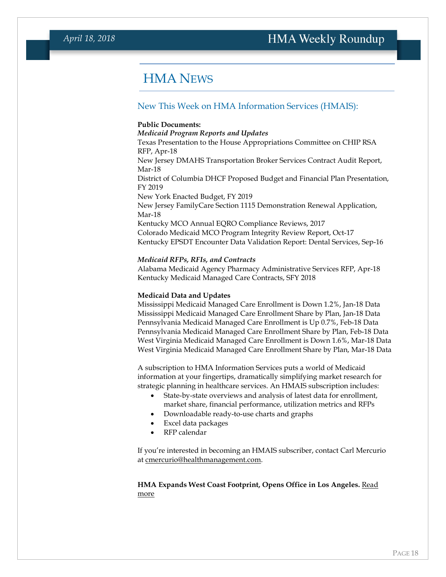## <span id="page-17-0"></span>HMA NEWS

#### New This Week on HMA Information Services (HMAIS):

#### **Public Documents:**

*Medicaid Program Reports and Updates* Texas Presentation to the House Appropriations Committee on CHIP RSA RFP, Apr-18 New Jersey DMAHS Transportation Broker Services Contract Audit Report, Mar-18 District of Columbia DHCF Proposed Budget and Financial Plan Presentation, FY 2019 New York Enacted Budget, FY 2019 New Jersey FamilyCare Section 1115 Demonstration Renewal Application, Mar-18 Kentucky MCO Annual EQRO Compliance Reviews, 2017 Colorado Medicaid MCO Program Integrity Review Report, Oct-17 Kentucky EPSDT Encounter Data Validation Report: Dental Services, Sep-16

#### *Medicaid RFPs, RFIs, and Contracts*

Alabama Medicaid Agency Pharmacy Administrative Services RFP, Apr-18 Kentucky Medicaid Managed Care Contracts, SFY 2018

#### **Medicaid Data and Updates**

Mississippi Medicaid Managed Care Enrollment is Down 1.2%, Jan-18 Data Mississippi Medicaid Managed Care Enrollment Share by Plan, Jan-18 Data Pennsylvania Medicaid Managed Care Enrollment is Up 0.7%, Feb-18 Data Pennsylvania Medicaid Managed Care Enrollment Share by Plan, Feb-18 Data West Virginia Medicaid Managed Care Enrollment is Down 1.6%, Mar-18 Data West Virginia Medicaid Managed Care Enrollment Share by Plan, Mar-18 Data

A subscription to HMA Information Services puts a world of Medicaid information at your fingertips, dramatically simplifying market research for strategic planning in healthcare services. An HMAIS subscription includes:

- State-by-state overviews and analysis of latest data for enrollment, market share, financial performance, utilization metrics and RFPs
- Downloadable ready-to-use charts and graphs
- Excel data packages
- RFP calendar

If you're interested in becoming an HMAIS subscriber, contact Carl Mercurio at [cmercurio@healthmanagement.com.](mailto:cmercurio@healthmanagement.com) 

#### **HMA Expands West Coast Footprint, Opens Office in Los Angeles.** [Read](https://www.healthmanagement.com/blog/hma-expands-west-coast-footprint-opens-office-los-angeles/)  [more](https://www.healthmanagement.com/blog/hma-expands-west-coast-footprint-opens-office-los-angeles/)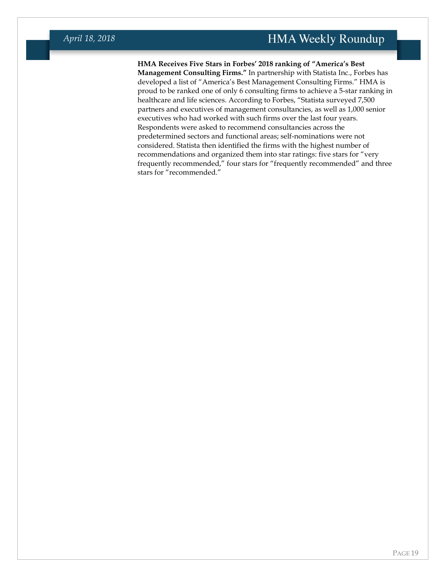**HMA Receives Five Stars in Forbes' 2018 ranking of "America's Best Management Consulting Firms."** In partnership with Statista Inc., Forbes has developed a list of "America's Best Management Consulting Firms." HMA is proud to be ranked one of only 6 consulting firms to achieve a 5-star ranking in healthcare and life sciences. According to Forbes, "Statista surveyed 7,500 partners and executives of management consultancies, as well as 1,000 senior executives who had worked with such firms over the last four years. Respondents were asked to recommend consultancies across the predetermined sectors and functional areas; self-nominations were not considered. Statista then identified the firms with the highest number of recommendations and organized them into star ratings: five stars for "very frequently recommended," four stars for "frequently recommended" and three stars for "recommended."